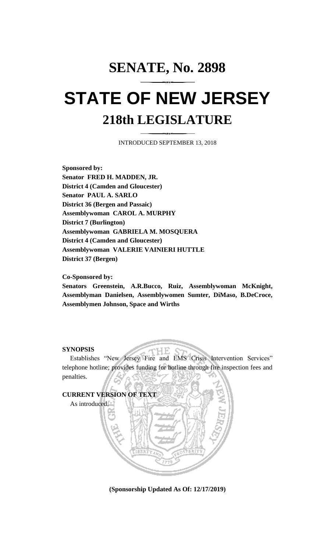# **SENATE, No. 2898 STATE OF NEW JERSEY 218th LEGISLATURE**

INTRODUCED SEPTEMBER 13, 2018

**Sponsored by: Senator FRED H. MADDEN, JR. District 4 (Camden and Gloucester) Senator PAUL A. SARLO District 36 (Bergen and Passaic) Assemblywoman CAROL A. MURPHY District 7 (Burlington) Assemblywoman GABRIELA M. MOSQUERA District 4 (Camden and Gloucester) Assemblywoman VALERIE VAINIERI HUTTLE District 37 (Bergen)**

## **Co-Sponsored by:**

**Senators Greenstein, A.R.Bucco, Ruiz, Assemblywoman McKnight, Assemblyman Danielsen, Assemblywomen Sumter, DiMaso, B.DeCroce, Assemblymen Johnson, Space and Wirths**

## **SYNOPSIS**

Establishes "New Jersey Fire and EMS Crisis Intervention Services" telephone hotline; provides funding for hotline through fire inspection fees and penalties.



**(Sponsorship Updated As Of: 12/17/2019)**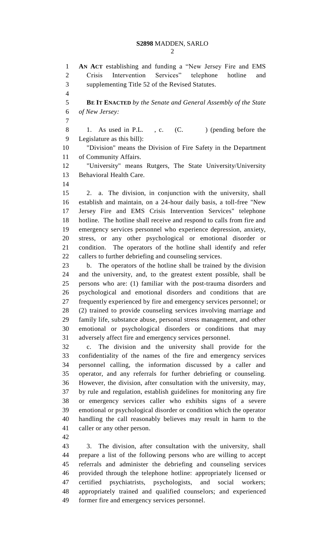**AN ACT** establishing and funding a "New Jersey Fire and EMS Crisis Intervention Services" telephone hotline and supplementing Title 52 of the Revised Statutes. **BE IT ENACTED** *by the Senate and General Assembly of the State of New Jersey:* 8 1. As used in P.L., c. (C. ) (pending before the Legislature as this bill): "Division" means the Division of Fire Safety in the Department of Community Affairs. "University" means Rutgers, The State University/University Behavioral Health Care. 2. a. The division, in conjunction with the university, shall establish and maintain, on a 24-hour daily basis, a toll-free "New Jersey Fire and EMS Crisis Intervention Services" telephone hotline. The hotline shall receive and respond to calls from fire and emergency services personnel who experience depression, anxiety, stress, or any other psychological or emotional disorder or condition. The operators of the hotline shall identify and refer callers to further debriefing and counseling services. b. The operators of the hotline shall be trained by the division and the university, and, to the greatest extent possible, shall be persons who are: (1) familiar with the post-trauma disorders and psychological and emotional disorders and conditions that are frequently experienced by fire and emergency services personnel; or (2) trained to provide counseling services involving marriage and family life, substance abuse, personal stress management, and other emotional or psychological disorders or conditions that may adversely affect fire and emergency services personnel. c. The division and the university shall provide for the confidentiality of the names of the fire and emergency services personnel calling, the information discussed by a caller and operator, and any referrals for further debriefing or counseling. However, the division, after consultation with the university, may, by rule and regulation, establish guidelines for monitoring any fire or emergency services caller who exhibits signs of a severe emotional or psychological disorder or condition which the operator handling the call reasonably believes may result in harm to the caller or any other person. 3. The division, after consultation with the university, shall prepare a list of the following persons who are willing to accept referrals and administer the debriefing and counseling services provided through the telephone hotline: appropriately licensed or certified psychiatrists, psychologists, and social workers;

 appropriately trained and qualified counselors; and experienced former fire and emergency services personnel.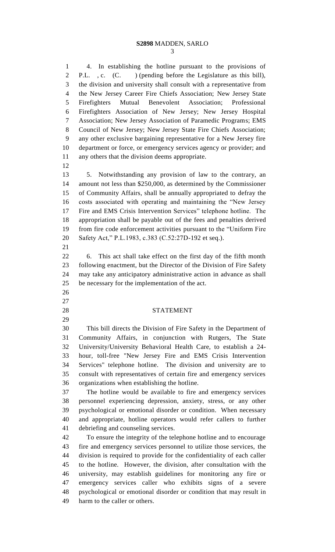## **S2898** MADDEN, SARLO

 4. In establishing the hotline pursuant to the provisions of P.L. , c. (C. ) (pending before the Legislature as this bill), the division and university shall consult with a representative from the New Jersey Career Fire Chiefs Association; New Jersey State Firefighters Mutual Benevolent Association; Professional Firefighters Association of New Jersey; New Jersey Hospital Association; New Jersey Association of Paramedic Programs; EMS Council of New Jersey; New Jersey State Fire Chiefs Association; any other exclusive bargaining representative for a New Jersey fire department or force, or emergency services agency or provider; and any others that the division deems appropriate.

 5. Notwithstanding any provision of law to the contrary, an amount not less than \$250,000, as determined by the Commissioner of Community Affairs, shall be annually appropriated to defray the costs associated with operating and maintaining the "New Jersey Fire and EMS Crisis Intervention Services" telephone hotline. The appropriation shall be payable out of the fees and penalties derived from fire code enforcement activities pursuant to the "Uniform Fire Safety Act," P.L.1983, c.383 (C.52:27D-192 et seq.). 

 6. This act shall take effect on the first day of the fifth month following enactment, but the Director of the Division of Fire Safety may take any anticipatory administrative action in advance as shall be necessary for the implementation of the act.

- 
- 
- 

## STATEMENT

 This bill directs the Division of Fire Safety in the Department of Community Affairs, in conjunction with Rutgers, The State University/University Behavioral Health Care, to establish a 24- hour, toll-free "New Jersey Fire and EMS Crisis Intervention Services" telephone hotline. The division and university are to consult with representatives of certain fire and emergency services organizations when establishing the hotline.

 The hotline would be available to fire and emergency services personnel experiencing depression, anxiety, stress, or any other psychological or emotional disorder or condition. When necessary and appropriate, hotline operators would refer callers to further debriefing and counseling services.

 To ensure the integrity of the telephone hotline and to encourage fire and emergency services personnel to utilize those services, the division is required to provide for the confidentiality of each caller to the hotline. However, the division, after consultation with the university, may establish guidelines for monitoring any fire or emergency services caller who exhibits signs of a severe psychological or emotional disorder or condition that may result in harm to the caller or others.